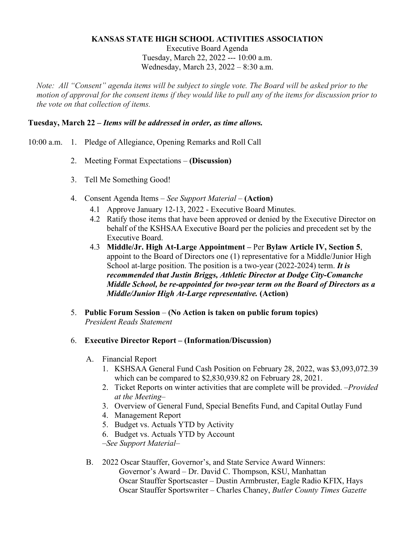## **KANSAS STATE HIGH SCHOOL ACTIVITIES ASSOCIATION**

Executive Board Agenda Tuesday, March 22, 2022 --- 10:00 a.m. Wednesday, March 23, 2022 – 8:30 a.m.

*Note: All "Consent" agenda items will be subject to single vote. The Board will be asked prior to the motion of approval for the consent items if they would like to pull any of the items for discussion prior to the vote on that collection of items.*

## **Tuesday, March 22 –** *Items will be addressed in order, as time allows.*

- 10:00 a.m. 1. Pledge of Allegiance, Opening Remarks and Roll Call
	- 2. Meeting Format Expectations *–* **(Discussion)**
	- 3. Tell Me Something Good!
	- 4. Consent Agenda Items *– See Support Material –* **(Action)**
		- 4.1 Approve January 12-13, 2022 Executive Board Minutes.
		- 4.2 Ratify those items that have been approved or denied by the Executive Director on behalf of the KSHSAA Executive Board per the policies and precedent set by the Executive Board.
		- 4.3 **Middle/Jr. High At-Large Appointment –** Per **Bylaw Article IV, Section 5**, appoint to the Board of Directors one (1) representative for a Middle/Junior High School at-large position. The position is a two-year (2022-2024) term. *It is recommended that Justin Briggs, Athletic Director at Dodge City-Comanche Middle School, be re-appointed for two-year term on the Board of Directors as a Middle/Junior High At-Large representative.* **(Action)**
	- 5. **Public Forum Session (No Action is taken on public forum topics)** *President Reads Statement*

#### 6. **Executive Director Report – (Information/Discussion)**

- A. Financial Report
	- 1. KSHSAA General Fund Cash Position on February 28, 2022, was \$3,093,072.39 which can be compared to \$2,830,939.82 on February 28, 2021.
	- 2. Ticket Reports on winter activities that are complete will be provided. *–Provided at the Meeting–*
	- 3. Overview of General Fund, Special Benefits Fund, and Capital Outlay Fund
	- 4. Management Report
	- 5. Budget vs. Actuals YTD by Activity
	- 6. Budget vs. Actuals YTD by Account

*–See Support Material–*

B. 2022 Oscar Stauffer, Governor's, and State Service Award Winners: Governor's Award – Dr. David C. Thompson, KSU, Manhattan Oscar Stauffer Sportscaster – Dustin Armbruster, Eagle Radio KFIX, Hays Oscar Stauffer Sportswriter – Charles Chaney, *Butler County Times Gazette*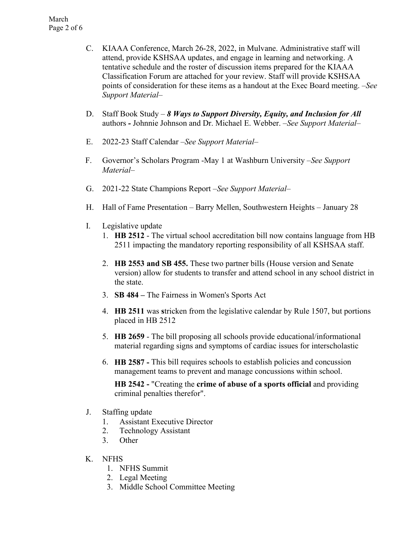- C. KIAAA Conference, March 26-28, 2022, in Mulvane. Administrative staff will attend, provide KSHSAA updates, and engage in learning and networking. A tentative schedule and the roster of discussion items prepared for the KIAAA Classification Forum are attached for your review. Staff will provide KSHSAA points of consideration for these items as a handout at the Exec Board meeting. *–See Support Material–*
- D. Staff Book Study *8 Ways to Support Diversity, Equity, and Inclusion for All*  authors *-* Johnnie Johnson and Dr. Michael E. Webber. *–See Support Material–*
- E. 2022-23 Staff Calendar *–See Support Material–*
- F. Governor's Scholars Program -May 1 at Washburn University *–See Support Material–*
- G. 2021-22 State Champions Report *–See Support Material–*
- H. Hall of Fame Presentation Barry Mellen, Southwestern Heights January 28
- I. Legislative update
	- 1. **HB 2512** The virtual school accreditation bill now contains language from HB 2511 impacting the mandatory reporting responsibility of all KSHSAA staff.
	- 2. **HB 2553 and SB 455.** These two partner bills (House version and Senate version) allow for students to transfer and attend school in any school district in the state.
	- 3. **SB 484 –** The Fairness in Women's Sports Act
	- 4. **HB 2511** was **s**tricken from the legislative calendar by Rule 1507, but portions placed in HB 2512
	- 5. **HB 2659** The bill proposing all schools provide educational/informational material regarding signs and symptoms of cardiac issues for interscholastic
	- 6. **HB 2587 -** This bill requires schools to establish policies and concussion management teams to prevent and manage concussions within school.

**HB 2542 -** "Creating the **crime of abuse of a sports official** and providing criminal penalties therefor".

- J. Staffing update
	- 1. Assistant Executive Director
	- 2. Technology Assistant
	- 3. Other
- K. NFHS
	- 1. NFHS Summit
	- 2. Legal Meeting
	- 3. Middle School Committee Meeting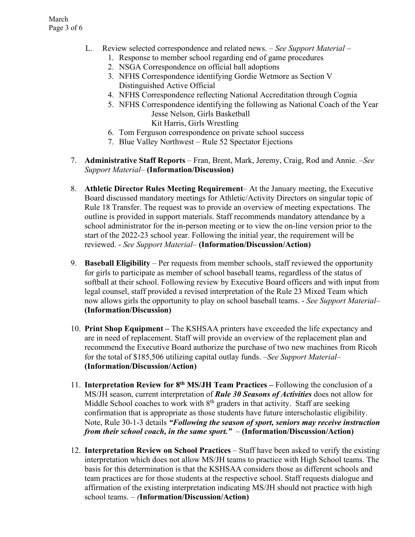- L. Review selected correspondence and related news. *– See Support Material –*
	- 1. Response to member school regarding end of game procedures
	- 2. NSGA Correspondence on official ball adoptions
	- 3. NFHS Correspondence identifying Gordie Wetmore as Section V Distinguished Active Official
	- 4. NFHS Correspondence reflecting National Accreditation through Cognia
	- 5. NFHS Correspondence identifying the following as National Coach of the Year Jesse Nelson, Girls Basketball Kit Harris, Girls Wrestling
	- 6. Tom Ferguson correspondence on private school success
	- 7. Blue Valley Northwest Rule 52 Spectator Ejections
- 7. **Administrative Staff Reports** Fran, Brent, Mark, Jeremy, Craig, Rod and Annie. *–See Support Material–* **(Information/Discussion)**
- 8. **Athletic Director Rules Meeting Requirement** At the January meeting, the Executive Board discussed mandatory meetings for Athletic/Activity Directors on singular topic of Rule 18 Transfer. The request was to provide an overview of meeting expectations. The outline is provided in support materials. Staff recommends mandatory attendance by a school administrator for the in-person meeting or to view the on-line version prior to the start of the 2022-23 school year. Following the initial year, the requirement will be reviewed. - *See Support Material–* **(Information/Discussion/Action)**
- 9. **Baseball Eligibility** Per requests from member schools, staff reviewed the opportunity for girls to participate as member of school baseball teams, regardless of the status of softball at their school. Following review by Executive Board officers and with input from legal counsel, staff provided a revised interpretation of the Rule 23 Mixed Team which now allows girls the opportunity to play on school baseball teams. - *See Support Material–* **(Information/Discussion)**
- 10. **Print Shop Equipment –** The KSHSAA printers have exceeded the life expectancy and are in need of replacement. Staff will provide an overview of the replacement plan and recommend the Executive Board authorize the purchase of two new machines from Ricoh for the total of \$185,506 utilizing capital outlay funds. *–See Support Material–* **(Information/Discussion/Action)**
- 11. **Interpretation Review for 8th MS/JH Team Practices –** Following the conclusion of a MS/JH season, current interpretation of *Rule 30 Seasons of Activities* does not allow for Middle School coaches to work with  $8<sup>th</sup>$  graders in that activity. Staff are seeking confirmation that is appropriate as those students have future interscholastic eligibility. Note, Rule 30-1-3 details *"Following the season of sport, seniors may receive instruction from their school coach, in the same sport." –* **(Information/Discussion/Action)**
- 12. **Interpretation Review on School Practices** Staff have been asked to verify the existing interpretation which does not allow MS/JH teams to practice with High School teams. The basis for this determination is that the KSHSAA considers those as different schools and team practices are for those students at the respective school. Staff requests dialogue and affirmation of the existing interpretation indicating MS/JH should not practice with high school teams. *– (***Information/Discussion/Action)**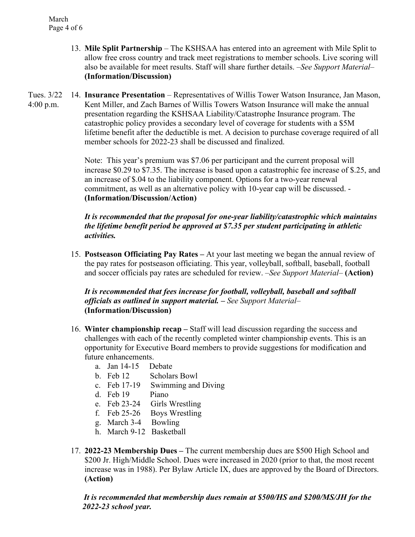- 13. **Mile Split Partnership** The KSHSAA has entered into an agreement with Mile Split to allow free cross country and track meet registrations to member schools. Live scoring will also be available for meet results. Staff will share further details. *–See Support Material–* **(Information/Discussion)**
- Tues. 3/22 4:00 p.m. 14. **Insurance Presentation** – Representatives of Willis Tower Watson Insurance, Jan Mason, Kent Miller, and Zach Barnes of Willis Towers Watson Insurance will make the annual presentation regarding the KSHSAA Liability/Catastrophe Insurance program. The catastrophic policy provides a secondary level of coverage for students with a \$5M lifetime benefit after the deductible is met. A decision to purchase coverage required of all member schools for 2022-23 shall be discussed and finalized.

Note: This year's premium was \$7.06 per participant and the current proposal will increase \$0.29 to \$7.35. The increase is based upon a catastrophic fee increase of \$.25, and an increase of \$.04 to the liability component. Options for a two-year renewal commitment, as well as an alternative policy with 10-year cap will be discussed. - **(Information/Discussion/Action)**

# *It is recommended that the proposal for one-year liability/catastrophic which maintains the lifetime benefit period be approved at \$7.35 per student participating in athletic activities.*

15. **Postseason Officiating Pay Rates –** At your last meeting we began the annual review of the pay rates for postseason officiating. This year, volleyball, softball, baseball, football and soccer officials pay rates are scheduled for review. *–See Support Material–* **(Action)**

*It is recommended that fees increase for football, volleyball, baseball and softball officials as outlined in support material. – See Support Material–* **(Information/Discussion)**

- 16. **Winter championship recap –** Staff will lead discussion regarding the success and challenges with each of the recently completed winter championship events. This is an opportunity for Executive Board members to provide suggestions for modification and future enhancements.
	- a. Jan 14-15 Debate
	- b. Feb 12 Scholars Bowl
	- c. Feb 17-19 Swimming and Diving
	- d. Feb 19 Piano
	- e. Feb 23-24 Girls Wrestling
	- f. Feb 25-26 Boys Wrestling
	- g. March 3-4 Bowling
	- h. March 9-12 Basketball
- 17. **2022-23 Membership Dues –** The current membership dues are \$500 High School and \$200 Jr. High/Middle School. Dues were increased in 2020 (prior to that, the most recent increase was in 1988). Per Bylaw Article IX, dues are approved by the Board of Directors. **(Action)**

*It is recommended that membership dues remain at \$500/HS and \$200/MS/JH for the 2022-23 school year.*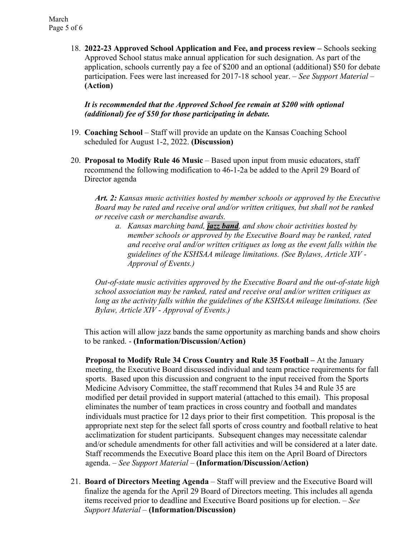18. **2022-23 Approved School Application and Fee, and process review –** Schools seeking Approved School status make annual application for such designation. As part of the application, schools currently pay a fee of \$200 and an optional (additional) \$50 for debate participation. Fees were last increased for 2017-18 school year. *– See Support Material –* **(Action)**

# *It is recommended that the Approved School fee remain at \$200 with optional (additional) fee of \$50 for those participating in debate.*

- 19. **Coaching School** Staff will provide an update on the Kansas Coaching School scheduled for August 1-2, 2022. **(Discussion)**
- 20. **Proposal to Modify Rule 46 Music** Based upon input from music educators, staff recommend the following modification to 46-1-2a be added to the April 29 Board of Director agenda

*Art. 2: Kansas music activities hosted by member schools or approved by the Executive Board may be rated and receive oral and/or written critiques, but shall not be ranked or receive cash or merchandise awards.* 

*a. Kansas marching band, jazz band, and show choir activities hosted by member schools or approved by the Executive Board may be ranked, rated and receive oral and/or written critiques as long as the event falls within the guidelines of the KSHSAA mileage limitations. (See Bylaws, Article XIV - Approval of Events.)* 

*Out-of-state music activities approved by the Executive Board and the out-of-state high school association may be ranked, rated and receive oral and/or written critiques as long as the activity falls within the guidelines of the KSHSAA mileage limitations. (See Bylaw, Article XIV - Approval of Events.)*

This action will allow jazz bands the same opportunity as marching bands and show choirs to be ranked. - **(Information/Discussion/Action)**

**Proposal to Modify Rule 34 Cross Country and Rule 35 Football –** At the January meeting, the Executive Board discussed individual and team practice requirements for fall sports. Based upon this discussion and congruent to the input received from the Sports Medicine Advisory Committee, the staff recommend that Rules 34 and Rule 35 are modified per detail provided in support material (attached to this email). This proposal eliminates the number of team practices in cross country and football and mandates individuals must practice for 12 days prior to their first competition. This proposal is the appropriate next step for the select fall sports of cross country and football relative to heat acclimatization for student participants. Subsequent changes may necessitate calendar and/or schedule amendments for other fall activities and will be considered at a later date. Staff recommends the Executive Board place this item on the April Board of Directors agenda. *– See Support Material –* **(Information/Discussion/Action)**

21. **Board of Directors Meeting Agenda** – Staff will preview and the Executive Board will finalize the agenda for the April 29 Board of Directors meeting. This includes all agenda items received prior to deadline and Executive Board positions up for election. *– See Support Material –* **(Information/Discussion)**